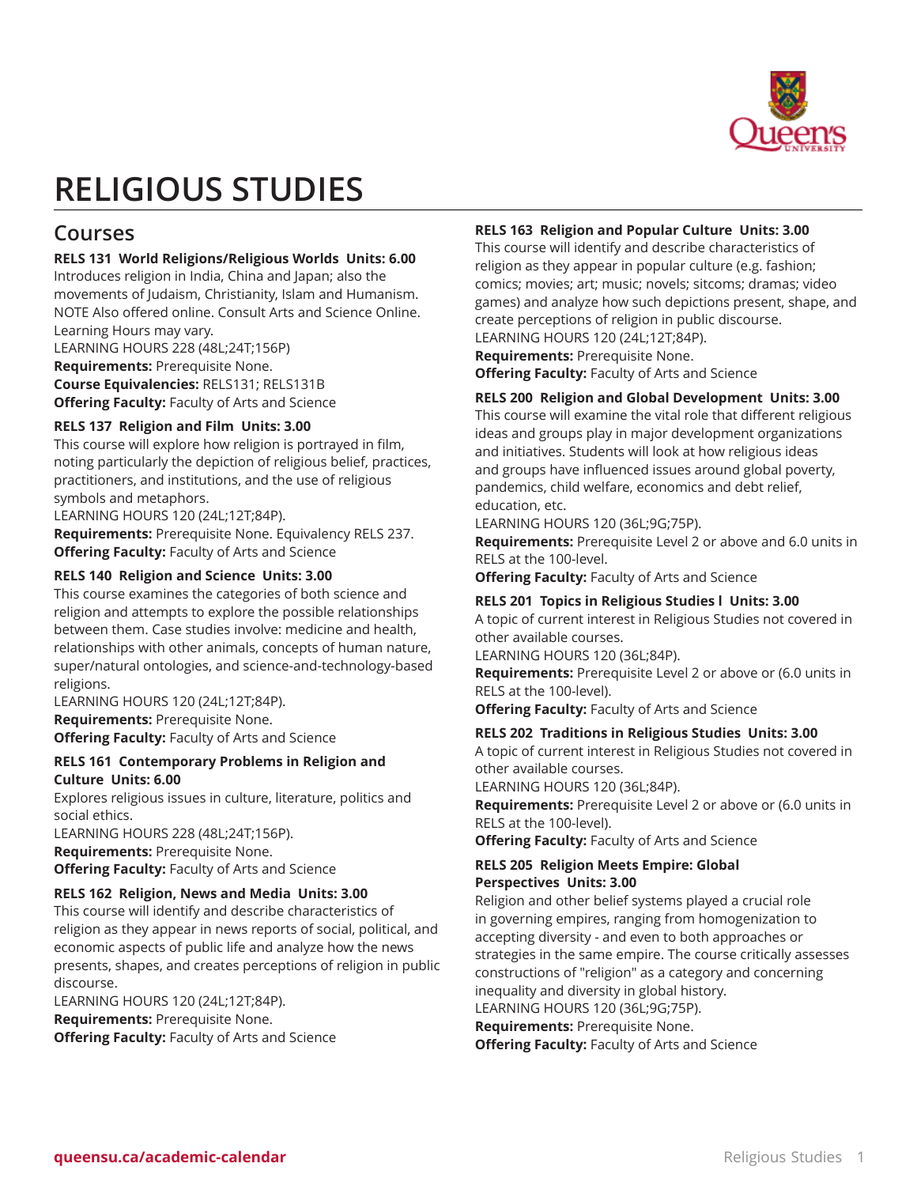

# **RELIGIOUS STUDIES**

# **Courses**

# **RELS 131 World Religions/Religious Worlds Units: 6.00**

Introduces religion in India, China and Japan; also the movements of Judaism, Christianity, Islam and Humanism. NOTE Also offered online. Consult Arts and Science Online. Learning Hours may vary.

LEARNING HOURS 228 (48L;24T;156P) **Requirements:** Prerequisite None.

**Course Equivalencies:** RELS131; RELS131B **Offering Faculty:** Faculty of Arts and Science

# **RELS 137 Religion and Film Units: 3.00**

This course will explore how religion is portrayed in film, noting particularly the depiction of religious belief, practices, practitioners, and institutions, and the use of religious symbols and metaphors.

LEARNING HOURS 120 (24L;12T;84P).

**Requirements:** Prerequisite None. Equivalency RELS 237. **Offering Faculty:** Faculty of Arts and Science

# **RELS 140 Religion and Science Units: 3.00**

This course examines the categories of both science and religion and attempts to explore the possible relationships between them. Case studies involve: medicine and health, relationships with other animals, concepts of human nature, super/natural ontologies, and science-and-technology-based religions.

LEARNING HOURS 120 (24L;12T;84P). **Requirements:** Prerequisite None. **Offering Faculty:** Faculty of Arts and Science

# **RELS 161 Contemporary Problems in Religion and Culture Units: 6.00**

Explores religious issues in culture, literature, politics and social ethics.

LEARNING HOURS 228 (48L;24T;156P). **Requirements:** Prerequisite None. **Offering Faculty:** Faculty of Arts and Science

# **RELS 162 Religion, News and Media Units: 3.00**

This course will identify and describe characteristics of religion as they appear in news reports of social, political, and economic aspects of public life and analyze how the news presents, shapes, and creates perceptions of religion in public discourse.

LEARNING HOURS 120 (24L;12T;84P). **Requirements:** Prerequisite None. **Offering Faculty:** Faculty of Arts and Science

# **RELS 163 Religion and Popular Culture Units: 3.00**

This course will identify and describe characteristics of religion as they appear in popular culture (e.g. fashion; comics; movies; art; music; novels; sitcoms; dramas; video games) and analyze how such depictions present, shape, and create perceptions of religion in public discourse. LEARNING HOURS 120 (24L;12T;84P).

**Requirements:** Prerequisite None. **Offering Faculty:** Faculty of Arts and Science

# **RELS 200 Religion and Global Development Units: 3.00**

This course will examine the vital role that different religious ideas and groups play in major development organizations and initiatives. Students will look at how religious ideas and groups have influenced issues around global poverty, pandemics, child welfare, economics and debt relief, education, etc.

LEARNING HOURS 120 (36L;9G;75P).

**Requirements:** Prerequisite Level 2 or above and 6.0 units in RELS at the 100-level.

**Offering Faculty:** Faculty of Arts and Science

# **RELS 201 Topics in Religious Studies l Units: 3.00**

A topic of current interest in Religious Studies not covered in other available courses.

LEARNING HOURS 120 (36L;84P).

**Requirements:** Prerequisite Level 2 or above or (6.0 units in RELS at the 100-level).

**Offering Faculty:** Faculty of Arts and Science

# **RELS 202 Traditions in Religious Studies Units: 3.00**

A topic of current interest in Religious Studies not covered in other available courses.

LEARNING HOURS 120 (36L;84P).

**Requirements:** Prerequisite Level 2 or above or (6.0 units in RELS at the 100-level).

**Offering Faculty:** Faculty of Arts and Science

#### **RELS 205 Religion Meets Empire: Global Perspectives Units: 3.00**

Religion and other belief systems played a crucial role in governing empires, ranging from homogenization to accepting diversity - and even to both approaches or strategies in the same empire. The course critically assesses constructions of "religion" as a category and concerning inequality and diversity in global history.

LEARNING HOURS 120 (36L;9G;75P). **Requirements:** Prerequisite None.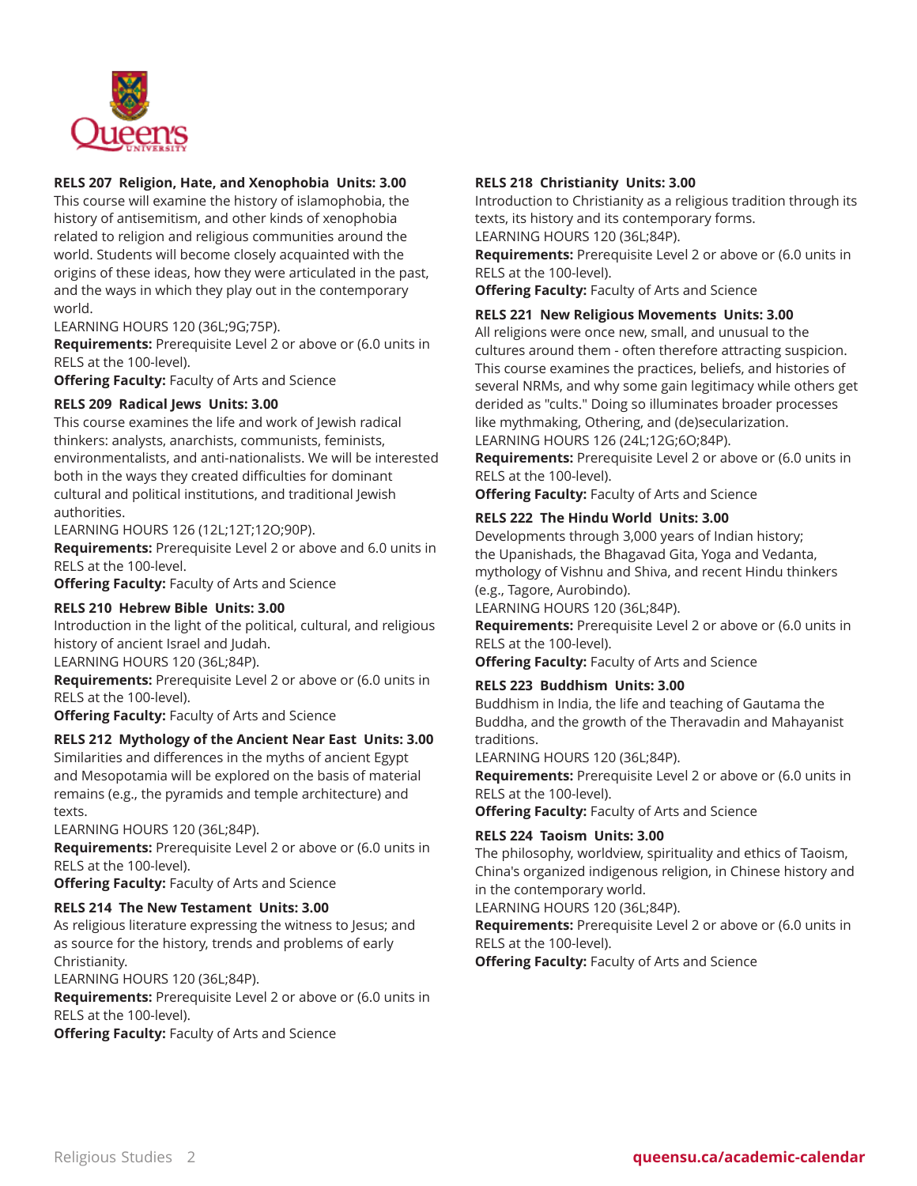

# **RELS 207 Religion, Hate, and Xenophobia Units: 3.00**

This course will examine the history of islamophobia, the history of antisemitism, and other kinds of xenophobia related to religion and religious communities around the world. Students will become closely acquainted with the origins of these ideas, how they were articulated in the past, and the ways in which they play out in the contemporary world.

# LEARNING HOURS 120 (36L;9G;75P).

**Requirements:** Prerequisite Level 2 or above or (6.0 units in RELS at the 100-level).

**Offering Faculty:** Faculty of Arts and Science

# **RELS 209 Radical Jews Units: 3.00**

This course examines the life and work of Jewish radical thinkers: analysts, anarchists, communists, feminists, environmentalists, and anti-nationalists. We will be interested both in the ways they created difficulties for dominant cultural and political institutions, and traditional Jewish authorities.

LEARNING HOURS 126 (12L;12T;12O;90P).

**Requirements:** Prerequisite Level 2 or above and 6.0 units in RELS at the 100-level.

**Offering Faculty:** Faculty of Arts and Science

# **RELS 210 Hebrew Bible Units: 3.00**

Introduction in the light of the political, cultural, and religious history of ancient Israel and Judah.

LEARNING HOURS 120 (36L;84P).

**Requirements:** Prerequisite Level 2 or above or (6.0 units in RELS at the 100-level).

**Offering Faculty:** Faculty of Arts and Science

# **RELS 212 Mythology of the Ancient Near East Units: 3.00**

Similarities and differences in the myths of ancient Egypt and Mesopotamia will be explored on the basis of material remains (e.g., the pyramids and temple architecture) and texts.

LEARNING HOURS 120 (36L;84P).

**Requirements:** Prerequisite Level 2 or above or (6.0 units in RELS at the 100-level).

**Offering Faculty:** Faculty of Arts and Science

# **RELS 214 The New Testament Units: 3.00**

As religious literature expressing the witness to Jesus; and as source for the history, trends and problems of early Christianity.

LEARNING HOURS 120 (36L;84P).

**Requirements:** Prerequisite Level 2 or above or (6.0 units in RELS at the 100-level).

**Offering Faculty:** Faculty of Arts and Science

#### **RELS 218 Christianity Units: 3.00**

Introduction to Christianity as a religious tradition through its texts, its history and its contemporary forms. LEARNING HOURS 120 (36L;84P).

**Requirements:** Prerequisite Level 2 or above or (6.0 units in RELS at the 100-level).

**Offering Faculty:** Faculty of Arts and Science

#### **RELS 221 New Religious Movements Units: 3.00**

All religions were once new, small, and unusual to the cultures around them - often therefore attracting suspicion. This course examines the practices, beliefs, and histories of several NRMs, and why some gain legitimacy while others get derided as "cults." Doing so illuminates broader processes like mythmaking, Othering, and (de)secularization. LEARNING HOURS 126 (24L;12G;6O;84P).

**Requirements:** Prerequisite Level 2 or above or (6.0 units in RELS at the 100-level).

**Offering Faculty:** Faculty of Arts and Science

# **RELS 222 The Hindu World Units: 3.00**

Developments through 3,000 years of Indian history; the Upanishads, the Bhagavad Gita, Yoga and Vedanta, mythology of Vishnu and Shiva, and recent Hindu thinkers (e.g., Tagore, Aurobindo).

LEARNING HOURS 120 (36L;84P).

**Requirements:** Prerequisite Level 2 or above or (6.0 units in RELS at the 100-level).

**Offering Faculty:** Faculty of Arts and Science

#### **RELS 223 Buddhism Units: 3.00**

Buddhism in India, the life and teaching of Gautama the Buddha, and the growth of the Theravadin and Mahayanist traditions.

LEARNING HOURS 120 (36L;84P).

**Requirements:** Prerequisite Level 2 or above or (6.0 units in RELS at the 100-level).

**Offering Faculty:** Faculty of Arts and Science

#### **RELS 224 Taoism Units: 3.00**

The philosophy, worldview, spirituality and ethics of Taoism, China's organized indigenous religion, in Chinese history and in the contemporary world.

LEARNING HOURS 120 (36L;84P).

**Requirements:** Prerequisite Level 2 or above or (6.0 units in RELS at the 100-level).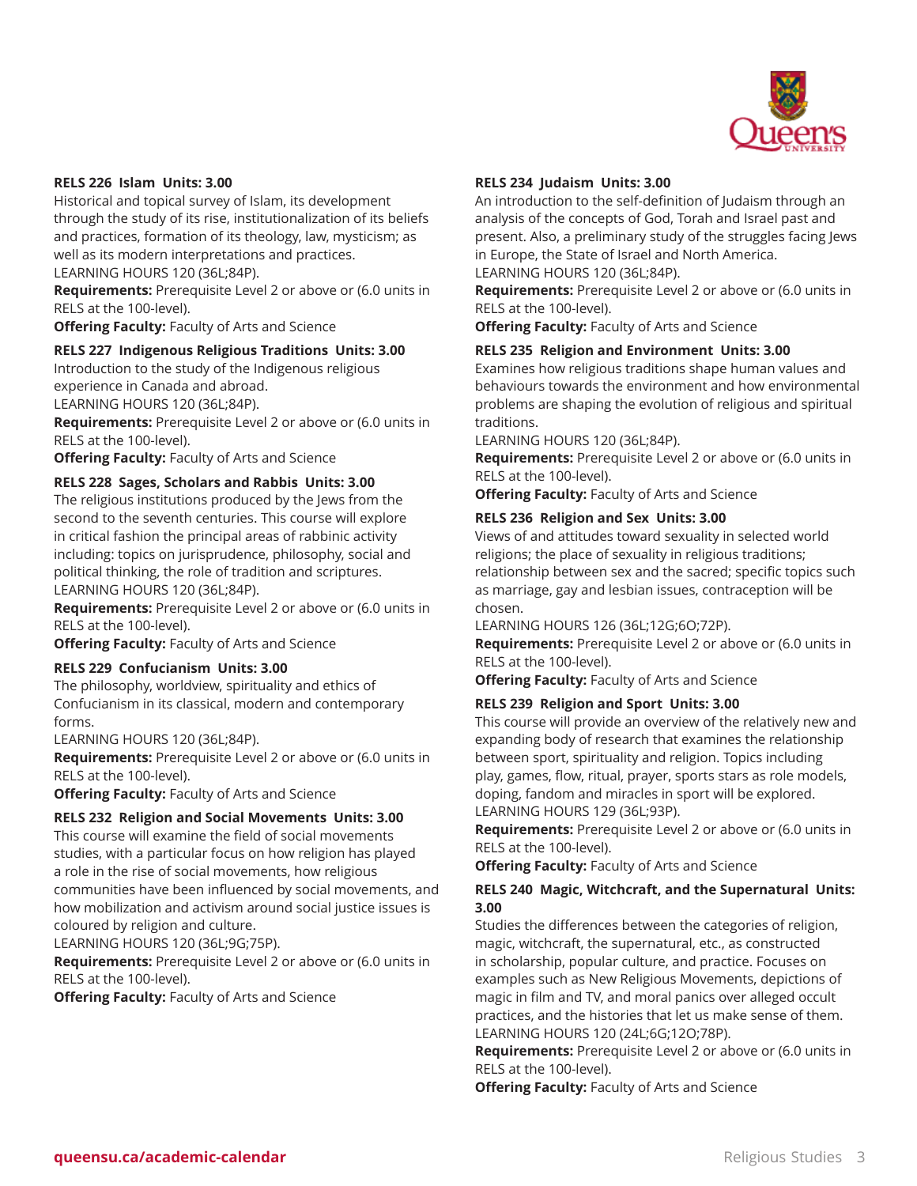

#### **RELS 226 Islam Units: 3.00**

Historical and topical survey of Islam, its development through the study of its rise, institutionalization of its beliefs and practices, formation of its theology, law, mysticism; as well as its modern interpretations and practices. LEARNING HOURS 120 (36L;84P).

**Requirements:** Prerequisite Level 2 or above or (6.0 units in RELS at the 100-level).

**Offering Faculty:** Faculty of Arts and Science

# **RELS 227 Indigenous Religious Traditions Units: 3.00**

Introduction to the study of the Indigenous religious experience in Canada and abroad.

LEARNING HOURS 120 (36L;84P).

**Requirements:** Prerequisite Level 2 or above or (6.0 units in RELS at the 100-level).

**Offering Faculty:** Faculty of Arts and Science

# **RELS 228 Sages, Scholars and Rabbis Units: 3.00**

The religious institutions produced by the Jews from the second to the seventh centuries. This course will explore in critical fashion the principal areas of rabbinic activity including: topics on jurisprudence, philosophy, social and political thinking, the role of tradition and scriptures. LEARNING HOURS 120 (36L;84P).

**Requirements:** Prerequisite Level 2 or above or (6.0 units in RELS at the 100-level).

**Offering Faculty:** Faculty of Arts and Science

#### **RELS 229 Confucianism Units: 3.00**

The philosophy, worldview, spirituality and ethics of Confucianism in its classical, modern and contemporary forms.

LEARNING HOURS 120 (36L;84P).

**Requirements:** Prerequisite Level 2 or above or (6.0 units in RELS at the 100-level).

**Offering Faculty:** Faculty of Arts and Science

#### **RELS 232 Religion and Social Movements Units: 3.00**

This course will examine the field of social movements studies, with a particular focus on how religion has played a role in the rise of social movements, how religious communities have been influenced by social movements, and how mobilization and activism around social justice issues is coloured by religion and culture.

LEARNING HOURS 120 (36L;9G;75P).

**Requirements:** Prerequisite Level 2 or above or (6.0 units in RELS at the 100-level).

**Offering Faculty:** Faculty of Arts and Science

# **RELS 234 Judaism Units: 3.00**

An introduction to the self-definition of Judaism through an analysis of the concepts of God, Torah and Israel past and present. Also, a preliminary study of the struggles facing Jews in Europe, the State of Israel and North America. LEARNING HOURS 120 (36L;84P).

**Requirements:** Prerequisite Level 2 or above or (6.0 units in RELS at the 100-level).

**Offering Faculty:** Faculty of Arts and Science

#### **RELS 235 Religion and Environment Units: 3.00**

Examines how religious traditions shape human values and behaviours towards the environment and how environmental problems are shaping the evolution of religious and spiritual traditions.

LEARNING HOURS 120 (36L;84P).

**Requirements:** Prerequisite Level 2 or above or (6.0 units in RELS at the 100-level).

**Offering Faculty:** Faculty of Arts and Science

#### **RELS 236 Religion and Sex Units: 3.00**

Views of and attitudes toward sexuality in selected world religions; the place of sexuality in religious traditions; relationship between sex and the sacred; specific topics such as marriage, gay and lesbian issues, contraception will be chosen.

LEARNING HOURS 126 (36L;12G;6O;72P).

**Requirements:** Prerequisite Level 2 or above or (6.0 units in RELS at the 100-level).

**Offering Faculty:** Faculty of Arts and Science

# **RELS 239 Religion and Sport Units: 3.00**

This course will provide an overview of the relatively new and expanding body of research that examines the relationship between sport, spirituality and religion. Topics including play, games, flow, ritual, prayer, sports stars as role models, doping, fandom and miracles in sport will be explored. LEARNING HOURS 129 (36L;93P).

**Requirements:** Prerequisite Level 2 or above or (6.0 units in RELS at the 100-level).

**Offering Faculty:** Faculty of Arts and Science

# **RELS 240 Magic, Witchcraft, and the Supernatural Units: 3.00**

Studies the differences between the categories of religion, magic, witchcraft, the supernatural, etc., as constructed in scholarship, popular culture, and practice. Focuses on examples such as New Religious Movements, depictions of magic in film and TV, and moral panics over alleged occult practices, and the histories that let us make sense of them. LEARNING HOURS 120 (24L;6G;12O;78P).

**Requirements:** Prerequisite Level 2 or above or (6.0 units in RELS at the 100-level).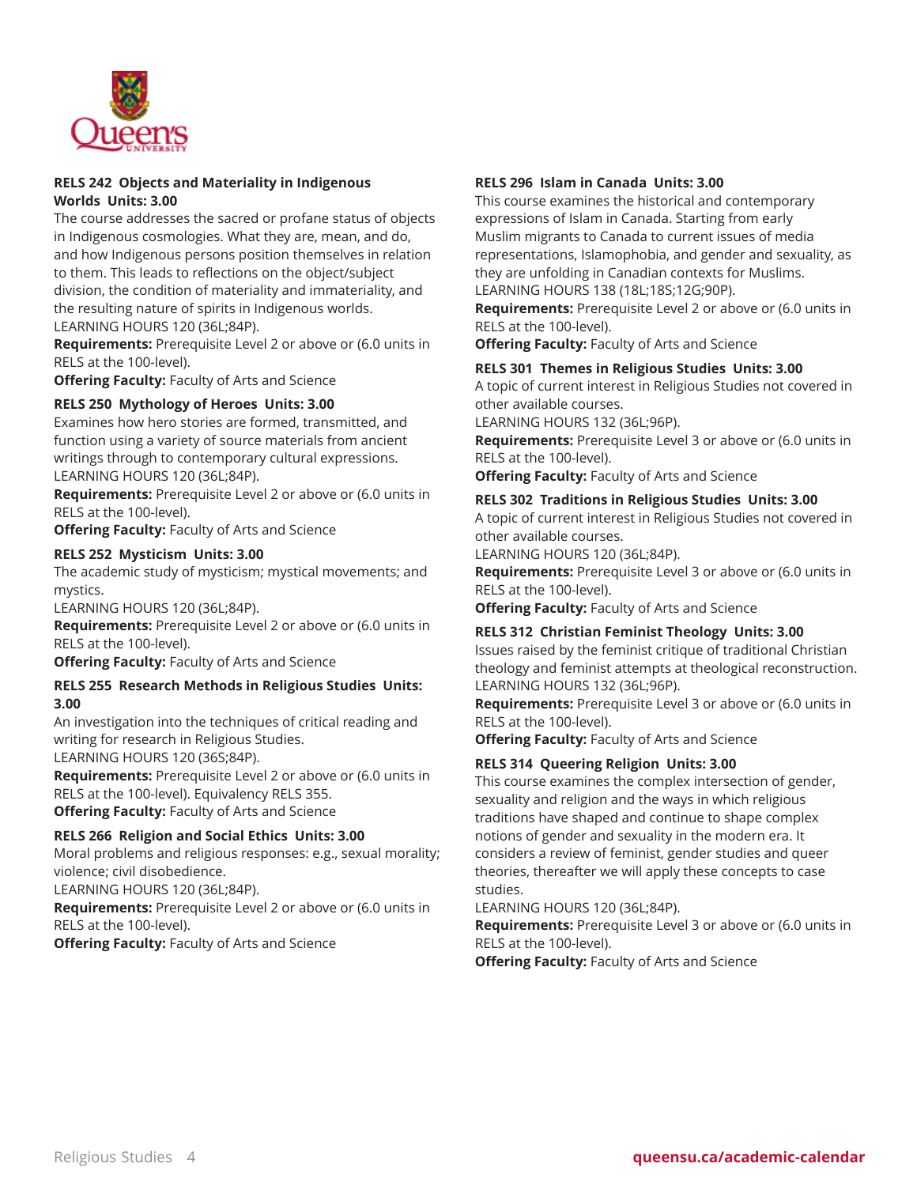

# **RELS 242 Objects and Materiality in Indigenous Worlds Units: 3.00**

The course addresses the sacred or profane status of objects in Indigenous cosmologies. What they are, mean, and do, and how Indigenous persons position themselves in relation to them. This leads to reflections on the object/subject division, the condition of materiality and immateriality, and the resulting nature of spirits in Indigenous worlds. LEARNING HOURS 120 (36L;84P).

**Requirements:** Prerequisite Level 2 or above or (6.0 units in RELS at the 100-level).

**Offering Faculty:** Faculty of Arts and Science

# **RELS 250 Mythology of Heroes Units: 3.00**

Examines how hero stories are formed, transmitted, and function using a variety of source materials from ancient writings through to contemporary cultural expressions. LEARNING HOURS 120 (36L;84P).

**Requirements:** Prerequisite Level 2 or above or (6.0 units in RELS at the 100-level).

**Offering Faculty:** Faculty of Arts and Science

# **RELS 252 Mysticism Units: 3.00**

The academic study of mysticism; mystical movements; and mystics.

LEARNING HOURS 120 (36L;84P).

**Requirements:** Prerequisite Level 2 or above or (6.0 units in RELS at the 100-level).

**Offering Faculty:** Faculty of Arts and Science

#### **RELS 255 Research Methods in Religious Studies Units: 3.00**

An investigation into the techniques of critical reading and writing for research in Religious Studies. LEARNING HOURS 120 (36S;84P).

**Requirements:** Prerequisite Level 2 or above or (6.0 units in RELS at the 100-level). Equivalency RELS 355. **Offering Faculty:** Faculty of Arts and Science

# **RELS 266 Religion and Social Ethics Units: 3.00**

Moral problems and religious responses: e.g., sexual morality; violence; civil disobedience.

LEARNING HOURS 120 (36L;84P).

**Requirements:** Prerequisite Level 2 or above or (6.0 units in RELS at the 100-level).

**Offering Faculty:** Faculty of Arts and Science

#### **RELS 296 Islam in Canada Units: 3.00**

This course examines the historical and contemporary expressions of Islam in Canada. Starting from early Muslim migrants to Canada to current issues of media representations, Islamophobia, and gender and sexuality, as they are unfolding in Canadian contexts for Muslims. LEARNING HOURS 138 (18L;18S;12G;90P).

**Requirements:** Prerequisite Level 2 or above or (6.0 units in RELS at the 100-level).

**Offering Faculty:** Faculty of Arts and Science

#### **RELS 301 Themes in Religious Studies Units: 3.00**

A topic of current interest in Religious Studies not covered in other available courses.

LEARNING HOURS 132 (36L;96P).

**Requirements:** Prerequisite Level 3 or above or (6.0 units in RELS at the 100-level).

**Offering Faculty:** Faculty of Arts and Science

#### **RELS 302 Traditions in Religious Studies Units: 3.00**

A topic of current interest in Religious Studies not covered in other available courses.

LEARNING HOURS 120 (36L;84P).

**Requirements:** Prerequisite Level 3 or above or (6.0 units in RELS at the 100-level).

**Offering Faculty:** Faculty of Arts and Science

#### **RELS 312 Christian Feminist Theology Units: 3.00**

Issues raised by the feminist critique of traditional Christian theology and feminist attempts at theological reconstruction. LEARNING HOURS 132 (36L;96P).

**Requirements:** Prerequisite Level 3 or above or (6.0 units in RELS at the 100-level).

**Offering Faculty:** Faculty of Arts and Science

#### **RELS 314 Queering Religion Units: 3.00**

This course examines the complex intersection of gender, sexuality and religion and the ways in which religious traditions have shaped and continue to shape complex notions of gender and sexuality in the modern era. It considers a review of feminist, gender studies and queer theories, thereafter we will apply these concepts to case studies.

LEARNING HOURS 120 (36L;84P).

**Requirements:** Prerequisite Level 3 or above or (6.0 units in RELS at the 100-level).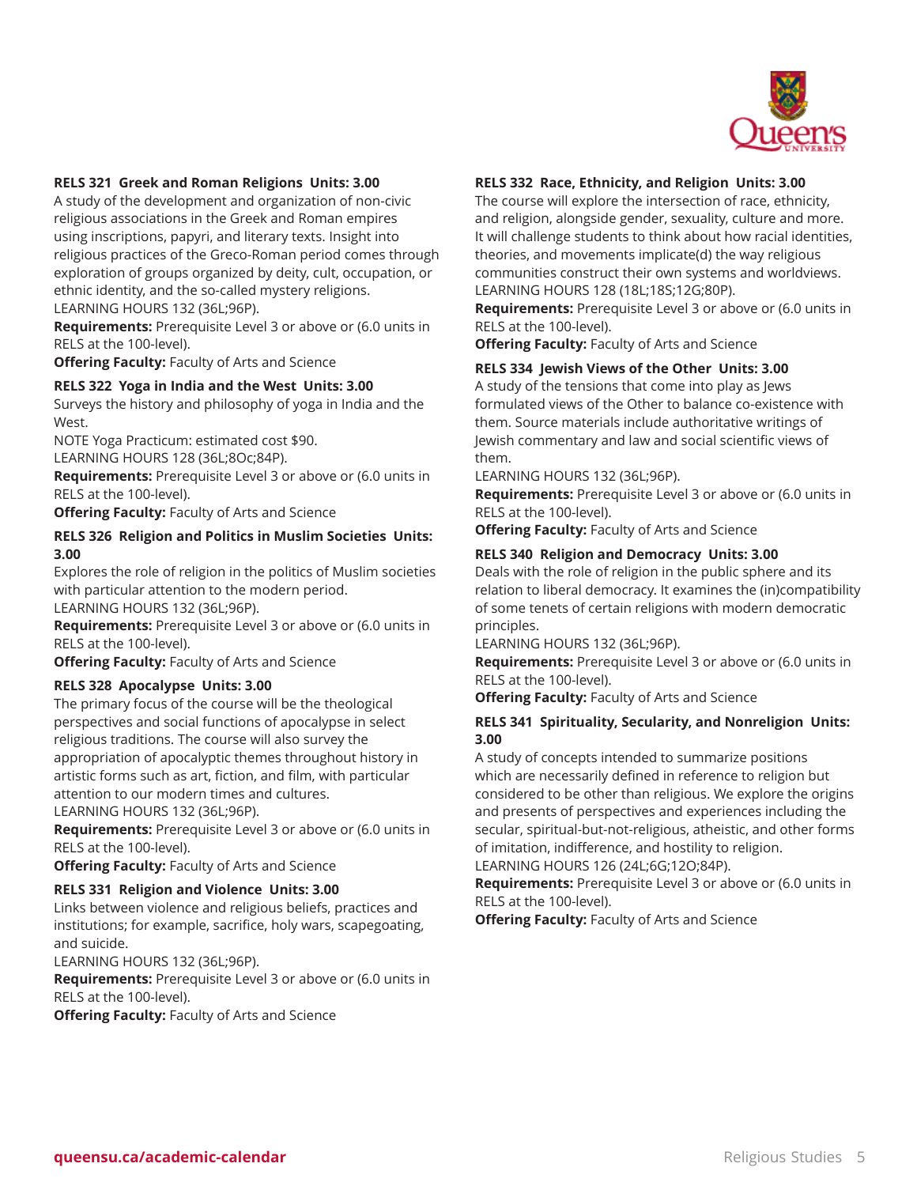

# **RELS 321 Greek and Roman Religions Units: 3.00**

A study of the development and organization of non-civic religious associations in the Greek and Roman empires using inscriptions, papyri, and literary texts. Insight into religious practices of the Greco-Roman period comes through exploration of groups organized by deity, cult, occupation, or ethnic identity, and the so-called mystery religions. LEARNING HOURS 132 (36L;96P).

**Requirements:** Prerequisite Level 3 or above or (6.0 units in RELS at the 100-level).

**Offering Faculty:** Faculty of Arts and Science

#### **RELS 322 Yoga in India and the West Units: 3.00**

Surveys the history and philosophy of yoga in India and the West.

NOTE Yoga Practicum: estimated cost \$90. LEARNING HOURS 128 (36L;8Oc;84P).

**Requirements:** Prerequisite Level 3 or above or (6.0 units in RELS at the 100-level).

**Offering Faculty:** Faculty of Arts and Science

#### **RELS 326 Religion and Politics in Muslim Societies Units: 3.00**

Explores the role of religion in the politics of Muslim societies with particular attention to the modern period. LEARNING HOURS 132 (36L;96P).

**Requirements:** Prerequisite Level 3 or above or (6.0 units in

RELS at the 100-level).

**Offering Faculty:** Faculty of Arts and Science

# **RELS 328 Apocalypse Units: 3.00**

The primary focus of the course will be the theological perspectives and social functions of apocalypse in select religious traditions. The course will also survey the appropriation of apocalyptic themes throughout history in artistic forms such as art, fiction, and film, with particular attention to our modern times and cultures.

LEARNING HOURS 132 (36L;96P).

**Requirements:** Prerequisite Level 3 or above or (6.0 units in RELS at the 100-level).

**Offering Faculty:** Faculty of Arts and Science

# **RELS 331 Religion and Violence Units: 3.00**

Links between violence and religious beliefs, practices and institutions; for example, sacrifice, holy wars, scapegoating, and suicide.

LEARNING HOURS 132 (36L;96P).

**Requirements:** Prerequisite Level 3 or above or (6.0 units in RELS at the 100-level).

**Offering Faculty:** Faculty of Arts and Science

# **RELS 332 Race, Ethnicity, and Religion Units: 3.00**

The course will explore the intersection of race, ethnicity, and religion, alongside gender, sexuality, culture and more. It will challenge students to think about how racial identities, theories, and movements implicate(d) the way religious communities construct their own systems and worldviews. LEARNING HOURS 128 (18L;18S;12G;80P).

**Requirements:** Prerequisite Level 3 or above or (6.0 units in RELS at the 100-level).

**Offering Faculty:** Faculty of Arts and Science

#### **RELS 334 Jewish Views of the Other Units: 3.00**

A study of the tensions that come into play as Jews formulated views of the Other to balance co-existence with them. Source materials include authoritative writings of Jewish commentary and law and social scientific views of them.

LEARNING HOURS 132 (36L;96P).

**Requirements:** Prerequisite Level 3 or above or (6.0 units in RELS at the 100-level).

**Offering Faculty:** Faculty of Arts and Science

# **RELS 340 Religion and Democracy Units: 3.00**

Deals with the role of religion in the public sphere and its relation to liberal democracy. It examines the (in)compatibility of some tenets of certain religions with modern democratic principles.

LEARNING HOURS 132 (36L;96P).

**Requirements:** Prerequisite Level 3 or above or (6.0 units in RELS at the 100-level).

**Offering Faculty:** Faculty of Arts and Science

# **RELS 341 Spirituality, Secularity, and Nonreligion Units: 3.00**

A study of concepts intended to summarize positions which are necessarily defined in reference to religion but considered to be other than religious. We explore the origins and presents of perspectives and experiences including the secular, spiritual-but-not-religious, atheistic, and other forms of imitation, indifference, and hostility to religion.

LEARNING HOURS 126 (24L;6G;12O;84P).

**Requirements:** Prerequisite Level 3 or above or (6.0 units in RELS at the 100-level).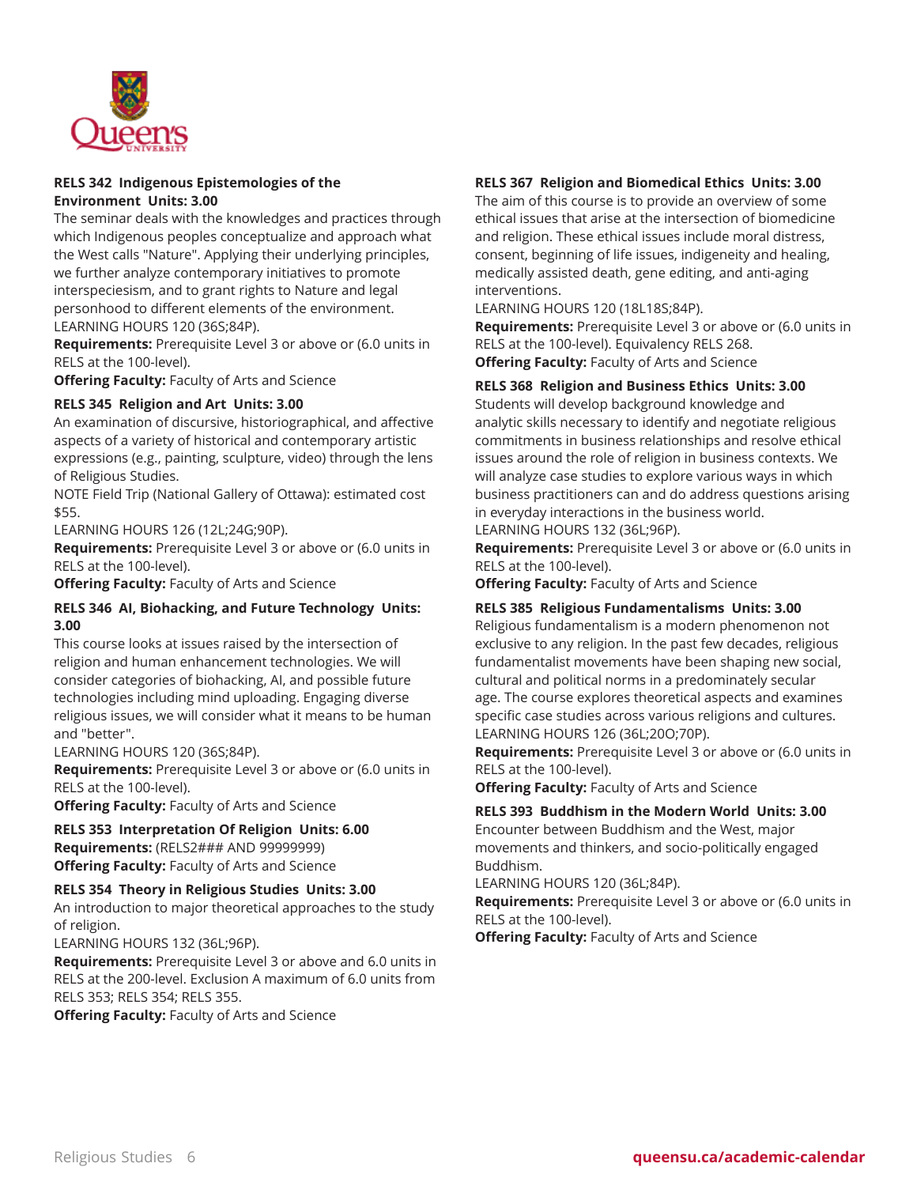

# **RELS 342 Indigenous Epistemologies of the Environment Units: 3.00**

The seminar deals with the knowledges and practices through which Indigenous peoples conceptualize and approach what the West calls "Nature". Applying their underlying principles, we further analyze contemporary initiatives to promote interspeciesism, and to grant rights to Nature and legal personhood to different elements of the environment. LEARNING HOURS 120 (36S;84P).

**Requirements:** Prerequisite Level 3 or above or (6.0 units in RELS at the 100-level).

**Offering Faculty:** Faculty of Arts and Science

# **RELS 345 Religion and Art Units: 3.00**

An examination of discursive, historiographical, and affective aspects of a variety of historical and contemporary artistic expressions (e.g., painting, sculpture, video) through the lens of Religious Studies.

NOTE Field Trip (National Gallery of Ottawa): estimated cost \$55.

LEARNING HOURS 126 (12L;24G;90P).

**Requirements:** Prerequisite Level 3 or above or (6.0 units in RELS at the 100-level).

**Offering Faculty:** Faculty of Arts and Science

# **RELS 346 AI, Biohacking, and Future Technology Units: 3.00**

This course looks at issues raised by the intersection of religion and human enhancement technologies. We will consider categories of biohacking, AI, and possible future technologies including mind uploading. Engaging diverse religious issues, we will consider what it means to be human and "better".

LEARNING HOURS 120 (36S;84P).

**Requirements:** Prerequisite Level 3 or above or (6.0 units in RELS at the 100-level).

**Offering Faculty:** Faculty of Arts and Science

**RELS 353 Interpretation Of Religion Units: 6.00 Requirements:** (RELS2### AND 99999999) **Offering Faculty:** Faculty of Arts and Science

# **RELS 354 Theory in Religious Studies Units: 3.00**

An introduction to major theoretical approaches to the study of religion.

LEARNING HOURS 132 (36L;96P).

**Requirements:** Prerequisite Level 3 or above and 6.0 units in RELS at the 200-level. Exclusion A maximum of 6.0 units from RELS 353; RELS 354; RELS 355.

**Offering Faculty:** Faculty of Arts and Science

# **RELS 367 Religion and Biomedical Ethics Units: 3.00**

The aim of this course is to provide an overview of some ethical issues that arise at the intersection of biomedicine and religion. These ethical issues include moral distress, consent, beginning of life issues, indigeneity and healing, medically assisted death, gene editing, and anti-aging interventions.

LEARNING HOURS 120 (18L18S;84P).

**Requirements:** Prerequisite Level 3 or above or (6.0 units in RELS at the 100-level). Equivalency RELS 268. **Offering Faculty:** Faculty of Arts and Science

# **RELS 368 Religion and Business Ethics Units: 3.00**

Students will develop background knowledge and analytic skills necessary to identify and negotiate religious commitments in business relationships and resolve ethical issues around the role of religion in business contexts. We will analyze case studies to explore various ways in which business practitioners can and do address questions arising in everyday interactions in the business world. LEARNING HOURS 132 (36L;96P).

**Requirements:** Prerequisite Level 3 or above or (6.0 units in RELS at the 100-level).

**Offering Faculty:** Faculty of Arts and Science

# **RELS 385 Religious Fundamentalisms Units: 3.00**

Religious fundamentalism is a modern phenomenon not exclusive to any religion. In the past few decades, religious fundamentalist movements have been shaping new social, cultural and political norms in a predominately secular age. The course explores theoretical aspects and examines specific case studies across various religions and cultures. LEARNING HOURS 126 (36L;20O;70P).

**Requirements:** Prerequisite Level 3 or above or (6.0 units in RELS at the 100-level).

**Offering Faculty:** Faculty of Arts and Science

# **RELS 393 Buddhism in the Modern World Units: 3.00**

Encounter between Buddhism and the West, major movements and thinkers, and socio-politically engaged Buddhism.

LEARNING HOURS 120 (36L;84P).

**Requirements:** Prerequisite Level 3 or above or (6.0 units in RELS at the 100-level).